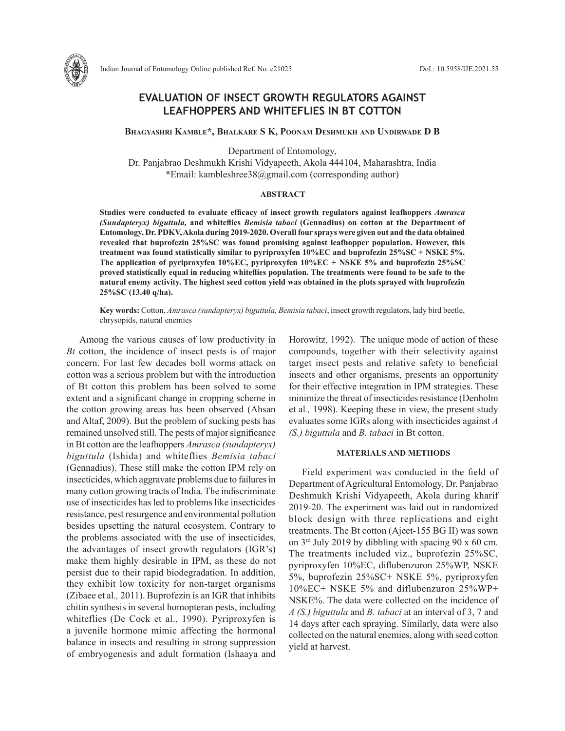

# **EVALUATION OF INSECT GROWTH REGULATORS AGAINST LEAFHOPPERS AND WHITEFLIES IN BT COTTON**

**Bhagyashri Kamble\*, Bhalkare S K, Poonam Deshmukh and Undirwade D B**

Department of Entomology,

Dr. Panjabrao Deshmukh Krishi Vidyapeeth, Akola 444104, Maharashtra, India \*Email: kambleshree38@gmail.com (corresponding author)

### **ABSTRACT**

**Studies were conducted to evaluate efficacy of insect growth regulators against leafhoppers** *Amrasca (Sundapteryx) biguttula,* **and whiteflies** *Bemisia tabaci* **(Gennadius) on cotton at the Department of Entomology, Dr. PDKV, Akola during 2019-2020. Overall four sprays were given out and the data obtained revealed that buprofezin 25%SC was found promising against leafhopper population. However, this treatment was found statistically similar to pyriproxyfen 10%EC and buprofezin 25%SC + NSKE 5%. The application of pyriproxyfen 10%EC, pyriproxyfen 10%EC + NSKE 5% and buprofezin 25%SC proved statistically equal in reducing whiteflies population. The treatments were found to be safe to the natural enemy activity. The highest seed cotton yield was obtained in the plots sprayed with buprofezin 25%SC (13.40 q/ha).** 

**Key words:** Cotton, *Amrasca (sundapteryx) biguttula, Bemisia tabaci*, insect growth regulators, lady bird beetle, chrysopids, natural enemies

Among the various causes of low productivity in *Bt* cotton, the incidence of insect pests is of major concern. For last few decades boll worms attack on cotton was a serious problem but with the introduction of Bt cotton this problem has been solved to some extent and a significant change in cropping scheme in the cotton growing areas has been observed (Ahsan and Altaf, 2009). But the problem of sucking pests has remained unsolved still. The pests of major significance in Bt cotton are the leafhoppers *Amrasca (sundapteryx) biguttula* (Ishida) and whiteflies *Bemisia tabaci* (Gennadius). These still make the cotton IPM rely on insecticides, which aggravate problems due to failures in many cotton growing tracts of India. The indiscriminate use of insecticides has led to problems like insecticides resistance, pest resurgence and environmental pollution besides upsetting the natural ecosystem. Contrary to the problems associated with the use of insecticides, the advantages of insect growth regulators (IGR's) make them highly desirable in IPM, as these do not persist due to their rapid biodegradation. In addition, they exhibit low toxicity for non-target organisms (Zibaee et al*.,* 2011). Buprofezin is an IGR that inhibits chitin synthesis in several homopteran pests, including whiteflies (De Cock et al., 1990). Pyriproxyfen is a juvenile hormone mimic affecting the hormonal balance in insects and resulting in strong suppression of embryogenesis and adult formation (Ishaaya and Horowitz, 1992). The unique mode of action of these compounds, together with their selectivity against target insect pests and relative safety to beneficial insects and other organisms, presents an opportunity for their effective integration in IPM strategies. These minimize the threat of insecticides resistance (Denholm et al*.,* 1998). Keeping these in view, the present study evaluates some IGRs along with insecticides against *A (S.) biguttula* and *B. tabaci* in Bt cotton.

#### **MATERIALS AND METHODS**

Field experiment was conducted in the field of Department of Agricultural Entomology, Dr. Panjabrao Deshmukh Krishi Vidyapeeth, Akola during kharif 2019-20. The experiment was laid out in randomized block design with three replications and eight treatments. The Bt cotton (Ajeet-155 BG II) was sown on  $3<sup>rd</sup>$  July 2019 by dibbling with spacing 90 x 60 cm. The treatments included viz., buprofezin 25%SC, pyriproxyfen 10%EC, diflubenzuron 25%WP, NSKE 5%, buprofezin 25%SC+ NSKE 5%, pyriproxyfen 10%EC+ NSKE 5% and diflubenzuron 25%WP+ NSKE%. The data were collected on the incidence of *A (S.) biguttula* and *B. tabaci* at an interval of 3, 7 and 14 days after each spraying. Similarly, data were also collected on the natural enemies, along with seed cotton yield at harvest.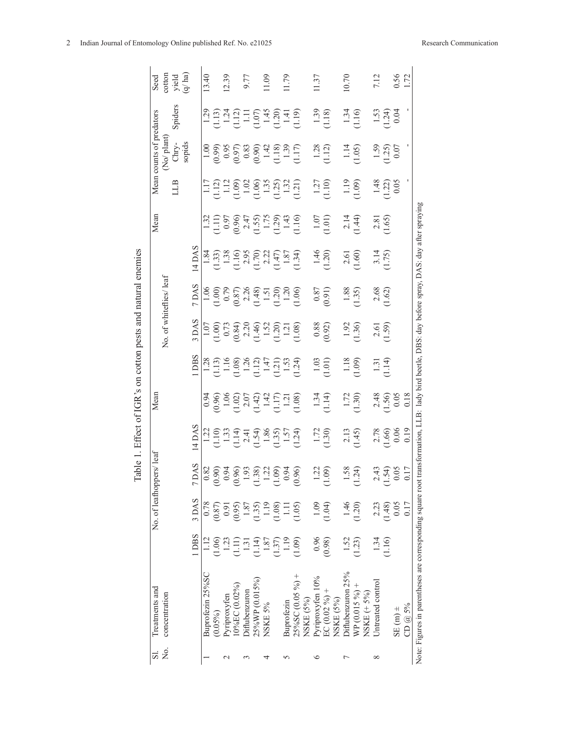| Seed<br>Mean counts of predators | cotton<br>No/plant | yield<br>q/ha)<br>Spiders<br>${\rm Chry}\text{-}$ | sopids |                      | 13.40            |            | 12.39            |               | 9.77                            |                |         |      | 1.09 | 11.79      |                                                                                                                                               | $\begin{array}{c} 1.29 \\ 1.13 \\ 1.24 \\ 1.11 \\ 1.11 \\ 1.11 \\ 1.11 \\ 1.10 \\ 1.20 \\ 1.11 \\ 1.20 \\ 1.11 \\ 1.11 \\ 1.11 \\ 1.11 \\ 1.11 \\ 1.11 \\ 1.11 \\ 1.11 \\ 1.11 \\ 1.11 \\ 1.11 \\ 1.11 \\ 1.12 \\ 1.13 \\ 1.13 \\ 1.14 \\ 1.13 \\ 1.14 \\ 1.13 \\ 1.14 \\ 1.15 \\ 1.15 \\ 1.16 \\ 1.17 \\ 1.$<br>$\begin{array}{c} 1.00 \\ 0.99 \\ 0.95 \\ 0.00 \\ 0.00 \\ 0.00 \\ 0.00 \\ 0.01 \\ 0.01 \\ 0.01 \\ 0.01 \\ 0.01 \\ 0.01 \\ 0.01 \\ 0.01 \\ 0.01 \\ 0.01 \\ 0.01 \\ 0.01 \\ 0.01 \\ 0.01 \\ 0.01 \\ 0.01 \\ 0.01 \\ 0.01 \\ 0.01 \\ 0.01 \\ 0.01 \\ 0.01 \\ 0.01 \\ 0.01 \\ 0.01 \\ 0.01 \\ 0.01 \\ 0.01 \\ 0.$ | 1.37             |                 | $1.39$<br>$1.18$<br>$1.28$<br>$(1.12)$ | 0.70              |              | $1.34$<br>$1.16$<br>$1.14$<br>$(1.05)$ |                   | 7.12   | 0.56<br>$1.53$<br>$1.24$ )<br>$0.04$<br>$\frac{1.59}{1.25}$    |
|----------------------------------|--------------------|---------------------------------------------------|--------|----------------------|------------------|------------|------------------|---------------|---------------------------------|----------------|---------|------|------|------------|-----------------------------------------------------------------------------------------------------------------------------------------------|--------------------------------------------------------------------------------------------------------------------------------------------------------------------------------------------------------------------------------------------------------------------------------------------------------------------------------------------------------------------------------------------------------------------------------------------------------------------------------------------------------------------------------------------------------------------------------------------------------------------------------|------------------|-----------------|----------------------------------------|-------------------|--------------|----------------------------------------|-------------------|--------|----------------------------------------------------------------|
|                                  |                    | LLB                                               |        |                      |                  |            |                  |               |                                 |                |         |      |      |            |                                                                                                                                               | 117<br>1120 - 1120 - 1130<br>1130 - 1130 - 1131<br>1131 - 1131 - 1131                                                                                                                                                                                                                                                                                                                                                                                                                                                                                                                                                          |                  |                 | $1.27$<br>$(1.10)$                     |                   |              | $1.19$<br>$(1.09)$                     |                   |        | $1.48$<br>$1.22$ )<br>$0.05$                                   |
| Mean                             |                    |                                                   |        |                      |                  |            |                  |               |                                 |                |         |      |      |            |                                                                                                                                               | $\begin{array}{c} 1.32 \\ 1.11) \\ 0.97 \\ 0.96 \\ 2.47 \\ 1.59 \\ 1.29 \\ 1.43 \\ 1.10 \\ 1.10 \\ 1.10 \\ 1.10 \\ 1.10 \\ 1.10 \\ 1.10 \\ 1.10 \\ 1.10 \\ 1.10 \\ 1.10 \\ 1.10 \\ 1.11 \\ 1.11 \\ 1.11 \\ 1.12 \\ 1.13 \\ 1.14 \\ 1.15 \\ 1.15 \\ 1.16 \\ 1.17 \\ 1.17 \\ 1.18 \\ 1.19 \\ 1.19 \\ 1.13 \\ 1$                                                                                                                                                                                                                                                                                                                  |                  |                 | (1.01)                                 |                   |              | $2.14$<br>$(1.44)$                     |                   |        | $2.81$<br>1.65)                                                |
| No. of whiteflies/ leaf          |                    |                                                   |        | $4$ DAS              |                  |            |                  |               |                                 |                |         |      |      |            |                                                                                                                                               | $\begin{array}{c}\n 1.84 \\  1.33 \\  1.38 \\  1.16 \\  2.95 \\  2.22 \\  1.47 \\  1.87 \\  1.34 \\  1.34\n \end{array}$                                                                                                                                                                                                                                                                                                                                                                                                                                                                                                       |                  |                 | $1.46$<br>$(1.20)$                     |                   |              | $2.61$<br>$1.60$                       |                   |        | $3.14$<br>1.75)                                                |
|                                  |                    |                                                   |        | 7 DAS                |                  |            |                  |               |                                 |                |         |      |      |            |                                                                                                                                               |                                                                                                                                                                                                                                                                                                                                                                                                                                                                                                                                                                                                                                |                  |                 |                                        |                   |              | 1.35                                   |                   |        | $\begin{array}{c} 2.68 \\ 1.62 \end{array}$                    |
|                                  |                    |                                                   |        | DAS.                 |                  |            |                  |               |                                 |                |         |      |      |            |                                                                                                                                               | $\begin{array}{l} 1.07 \\ 1.00 \\ 0.73 \\ 0.84 \\ 2.20 \\ 1.40 \\ 1.21 \\ 1.21 \\ 1.21 \\ 1.21 \\ 1.31 \\ 1.40 \\ 1.21 \\ 1.31 \\ 1.40 \\ 1.31 \\ 1.31 \\ 1.31 \\ 1.32 \\ 1.33 \\ 1.33 \\ 1.33 \\ 1.33 \\ 1.33 \\ 1.33 \\ 1.33 \\ 1.33 \\ 1.33 \\ 1.33 \\ 1.33 \\ 1.33 \\ 1.33 \\ 1.33 \\ 1.33 \\ 1.33 \\ 1.$                                                                                                                                                                                                                                                                                                                  |                  |                 | $\frac{0.88}{0.92}$                    |                   |              | 1.36                                   |                   |        | $\frac{2.61}{1.59}$                                            |
|                                  |                    |                                                   |        | DBS                  |                  |            |                  |               |                                 |                |         |      |      |            |                                                                                                                                               |                                                                                                                                                                                                                                                                                                                                                                                                                                                                                                                                                                                                                                |                  |                 | (1.01)                                 |                   |              | $1.18$<br>$(1.09)$                     |                   |        | $1.31$<br>$1.14$                                               |
| Mean                             |                    |                                                   |        |                      |                  |            |                  |               |                                 |                |         |      |      |            |                                                                                                                                               | 0.94<br>0.960<br>1.02 0.7<br>1.42 1.7<br>1.11<br>1.11 1.11 1.11<br>1.11 1.11 1.11                                                                                                                                                                                                                                                                                                                                                                                                                                                                                                                                              |                  |                 | $1.34$<br>$(1.14)$                     |                   |              | $1.72$<br>$(1.30)$                     |                   |        | $2.48$<br>1.56)<br>1.56<br>0.18                                |
| No. of leafhoppers/ leaf         |                    |                                                   |        | 4 DAS                |                  |            |                  |               |                                 |                |         |      |      |            |                                                                                                                                               | $\begin{array}{c} 1.22 \\ 1.10 \\ 1.33 \\ 1.41 \\ 2.41 \\ 3.86 \\ 1.37 \\ 1.37 \\ 1.24 \\ 1.39 \\ 1.37 \\ 1.24 \\ 1.37 \\ 1.24 \\ 1.37 \\ 1.37 \\ 1.37 \\ 1.37 \\ 1.37 \\ 1.38 \\ 1.37 \\ 1.37 \\ 1.38 \\ 1.37 \\ 1.39 \\ 1.33 \\ 1.35 \\ 1.37 \\ 1.38 \\ 1.39 \\ 1.39 \\ 1.33 \\ 1.35 \\ 1.37 \\ 1.38 \\ 1.$                                                                                                                                                                                                                                                                                                                  |                  |                 | 1.72                                   |                   |              | $2.13$<br>1.45)                        |                   |        | $2.78$<br>1.66)<br>$\begin{array}{c} 0.06 \\ 0.19 \end{array}$ |
|                                  |                    |                                                   |        | SV<br>$\overline{1}$ |                  |            |                  |               |                                 |                |         |      |      |            | $\begin{array}{r} 82 \\ 0.90 \\ 0.94 \\ 0.99 \\ 0.99 \\ 0.99 \\ 0.91 \\ 0.93 \\ 0.94 \\ 0.94 \\ 0.94 \\ 0.94 \\ \hline \end{array}$<br>(0.96) |                                                                                                                                                                                                                                                                                                                                                                                                                                                                                                                                                                                                                                |                  | 22<br>(1.09)    |                                        | 58                | (1.24)       |                                        |                   |        | $2.43$<br>$(1.54)$<br>$0.05$<br>$0.17$                         |
|                                  |                    |                                                   |        | 3 DAS                | 0.78             | (187)      |                  |               | $1.87\,$                        | 1.35)          |         | 1.19 | 1.08 |            | $\frac{1.11}{(1.05)}$                                                                                                                         |                                                                                                                                                                                                                                                                                                                                                                                                                                                                                                                                                                                                                                | 1.09             | (1.04)          |                                        | 1.46              | 1.20)        |                                        | 2.23              | 1.48)  | 0.05                                                           |
|                                  |                    |                                                   |        | 1 DBS                |                  | (1.06)     | 1.23             | $\Xi$         | $\overline{1}\cdot\overline{3}$ | 1.14           |         | 1.87 |      |            | $(1.37)$<br>1.19<br>(1.09)                                                                                                                    |                                                                                                                                                                                                                                                                                                                                                                                                                                                                                                                                                                                                                                | 0.96             | (0.98)          |                                        | 1.52              | (1.23)       |                                        | 1.34              | (1.16) |                                                                |
| Treatments and                   | concentration      |                                                   |        |                      | Buprofezin 25%SC | $(0.05\%)$ | Pyriproxyfen     | 10%EC (0.02%) | Diflubenzuron                   | 25%WP (0.015%) | NSKE 5% |      |      | Buprofezin | $25\%SC(0.05\%)+$                                                                                                                             | NSKE (5%)                                                                                                                                                                                                                                                                                                                                                                                                                                                                                                                                                                                                                      | Pyriproxyfen 10% | EC $(0.02\%)$ + | NSKE (5%)                              | Diflubenzuron 25% | WP (0.015 %) | NSKE $(+5%)$                           | Untreated control |        | $SE(m) \pm$                                                    |
| $\overline{S}$ .                 | Σò.                |                                                   |        |                      |                  |            | $\mathrel{\sim}$ |               | 3                               |                | 4       |      |      | 5          |                                                                                                                                               |                                                                                                                                                                                                                                                                                                                                                                                                                                                                                                                                                                                                                                | $\circ$          |                 |                                        | Γ                 |              |                                        | $\infty$          |        |                                                                |

Table 1. Effect of IGR's on cotton pests and natural enemies Table 1. Effect of IGR's on cotton pests and natural enemies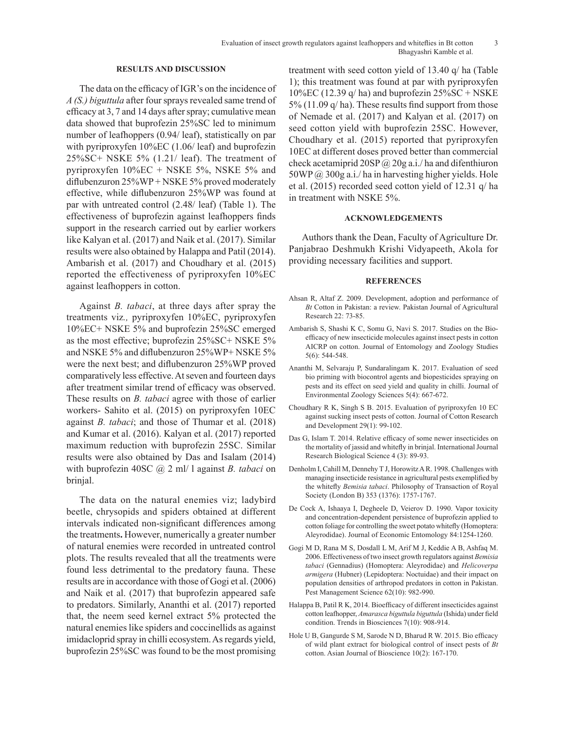### **RESULTS AND DISCUSSION**

The data on the efficacy of IGR's on the incidence of *A (S.) biguttula* after four sprays revealed same trend of efficacy at 3, 7 and 14 days after spray; cumulative mean data showed that buprofezin 25%SC led to minimum number of leafhoppers (0.94/ leaf), statistically on par with pyriproxyfen 10%EC (1.06/ leaf) and buprofezin 25%SC+ NSKE 5% (1.21/ leaf). The treatment of pyriproxyfen 10%EC + NSKE 5%, NSKE 5% and diflubenzuron 25%WP + NSKE 5% proved moderately effective, while diflubenzuron 25%WP was found at par with untreated control (2.48/ leaf) (Table 1). The effectiveness of buprofezin against leafhoppers finds support in the research carried out by earlier workers like Kalyan et al. (2017) and Naik et al. (2017). Similar results were also obtained by Halappa and Patil (2014). Ambarish et al. (2017) and Choudhary et al. (2015) reported the effectiveness of pyriproxyfen 10%EC against leafhoppers in cotton.

Against *B. tabaci*, at three days after spray the treatments viz*.,* pyriproxyfen 10%EC, pyriproxyfen 10%EC+ NSKE 5% and buprofezin 25%SC emerged as the most effective; buprofezin 25%SC+ NSKE 5% and NSKE 5% and diflubenzuron 25%WP+ NSKE 5% were the next best; and diflubenzuron 25%WP proved comparatively less effective. At seven and fourteen days after treatment similar trend of efficacy was observed. These results on *B. tabaci* agree with those of earlier workers- Sahito et al. (2015) on pyriproxyfen 10EC against *B. tabaci*; and those of Thumar et al. (2018) and Kumar et al. (2016). Kalyan et al. (2017) reported maximum reduction with buprofezin 25SC. Similar results were also obtained by Das and Isalam (2014) with buprofezin 40SC @ 2 ml/ l against *B. tabaci* on brinjal.

The data on the natural enemies viz; ladybird beetle, chrysopids and spiders obtained at different intervals indicated non-significant differences among the treatments**.** However, numerically a greater number of natural enemies were recorded in untreated control plots. The results revealed that all the treatments were found less detrimental to the predatory fauna. These results are in accordance with those of Gogi et al. (2006) and Naik et al. (2017) that buprofezin appeared safe to predators. Similarly, Ananthi et al. (2017) reported that, the neem seed kernel extract 5% protected the natural enemies like spiders and coccinellids as against imidacloprid spray in chilli ecosystem. As regards yield, buprofezin 25%SC was found to be the most promising treatment with seed cotton yield of 13.40 q/ ha (Table 1); this treatment was found at par with pyriproxyfen  $10\%$ EC (12.39 q/ ha) and buprofezin  $25\%$ SC + NSKE 5% (11.09 q/ ha). These results find support from those of Nemade et al. (2017) and Kalyan et al. (2017) on seed cotton yield with buprofezin 25SC. However, Choudhary et al. (2015) reported that pyriproxyfen 10EC at different doses proved better than commercial check acetamiprid  $20SP\left(\frac{a}{2}\right)$  20g a.i./ ha and difenthiuron  $50WP$   $@$   $300g$  a.i./ ha in harvesting higher yields. Hole et al. (2015) recorded seed cotton yield of 12.31 q/ ha in treatment with NSKE 5%.

## **ACKNOWLEDGEMENTS**

Authors thank the Dean, Faculty of Agriculture Dr. Panjabrao Deshmukh Krishi Vidyapeeth, Akola for providing necessary facilities and support.

#### **REFERENCES**

- Ahsan R, Altaf Z. 2009. Development, adoption and performance of *Bt* Cotton in Pakistan: a review. Pakistan Journal of Agricultural Research 22: 73-85.
- Ambarish S, Shashi K C, Somu G, Navi S. 2017. Studies on the Bioefficacy of new insecticide molecules against insect pests in cotton AICRP on cotton. Journal of Entomology and Zoology Studies 5(6): 544-548.
- Ananthi M, Selvaraju P, Sundaralingam K. 2017. Evaluation of seed bio priming with biocontrol agents and biopesticides spraying on pests and its effect on seed yield and quality in chilli. Journal of Environmental Zoology Sciences 5(4): 667-672.
- Choudhary R K, Singh S B. 2015. Evaluation of pyriproxyfen 10 EC against sucking insect pests of cotton. Journal of Cotton Research and Development 29(1): 99-102.
- Das G, Islam T. 2014. Relative efficacy of some newer insecticides on the mortality of jassid and whitefly in brinjal. International Journal Research Biological Science 4 (3): 89-93.
- Denholm I, Cahill M, Dennehy T J, Horowitz A R. 1998. Challenges with managing insecticide resistance in agricultural pests exemplified by the whitefly *Bemisia tabaci*. Philosophy of Transaction of Royal Society (London B) 353 (1376): 1757-1767.
- De Cock A, Ishaaya I, Degheele D, Veierov D. 1990. Vapor toxicity and concentration-dependent persistence of buprofezin applied to cotton foliage for controlling the sweet potato whitefly (Homoptera: Aleyrodidae). Journal of Economic Entomology 84:1254-1260.
- Gogi M D, Rana M S, Dosdall L M, Arif M J, Keddie A B, Ashfaq M. 2006. Effectiveness of two insect growth regulators against *Bemisia tabaci* (Gennadius) (Homoptera: Aleyrodidae) and *Helicoverpa armigera* (Hubner) (Lepidoptera: Noctuidae) and their impact on population densities of arthropod predators in cotton in Pakistan. Pest Management Science 62(10): 982-990.
- Halappa B, Patil R K, 2014. Bioefficacy of different insecticides against cotton leafhopper, *Amarasca biguttula biguttula* (Ishida) under field condition. Trends in Biosciences 7(10): 908-914.
- Hole U B, Gangurde S M, Sarode N D, Bharud R W. 2015. Bio efficacy of wild plant extract for biological control of insect pests of *Bt*  cotton. Asian Journal of Bioscience 10(2): 167-170.